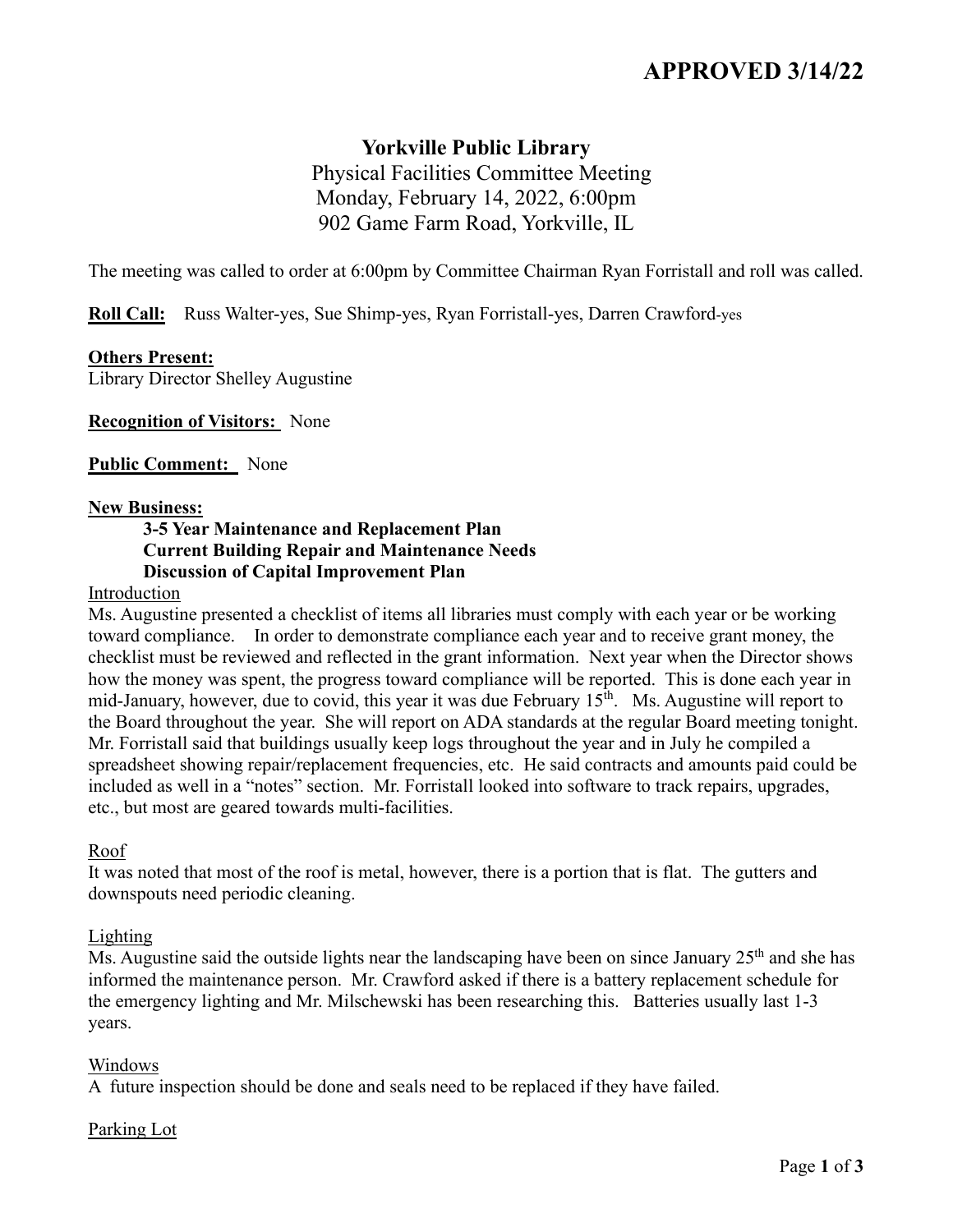# **APPROVED 3/14/22**

## **Yorkville Public Library**

 Physical Facilities Committee Meeting Monday, February 14, 2022, 6:00pm 902 Game Farm Road, Yorkville, IL

The meeting was called to order at 6:00pm by Committee Chairman Ryan Forristall and roll was called.

**Roll Call:** Russ Walter-yes, Sue Shimp-yes, Ryan Forristall-yes, Darren Crawford-yes

#### **Others Present:**

Library Director Shelley Augustine

**Recognition of Visitors:** None

**Public Comment:** None

#### **New Business:**

## **3-5 Year Maintenance and Replacement Plan Current Building Repair and Maintenance Needs Discussion of Capital Improvement Plan**

#### Introduction

Ms. Augustine presented a checklist of items all libraries must comply with each year or be working toward compliance. In order to demonstrate compliance each year and to receive grant money, the checklist must be reviewed and reflected in the grant information. Next year when the Director shows how the money was spent, the progress toward compliance will be reported. This is done each year in mid-January, however, due to covid, this year it was due February 15<sup>th</sup>. Ms. Augustine will report to the Board throughout the year. She will report on ADA standards at the regular Board meeting tonight. Mr. Forristall said that buildings usually keep logs throughout the year and in July he compiled a spreadsheet showing repair/replacement frequencies, etc. He said contracts and amounts paid could be included as well in a "notes" section. Mr. Forristall looked into software to track repairs, upgrades, etc., but most are geared towards multi-facilities.

#### Roof

It was noted that most of the roof is metal, however, there is a portion that is flat. The gutters and downspouts need periodic cleaning.

#### Lighting

Ms. Augustine said the outside lights near the landscaping have been on since January 25<sup>th</sup> and she has informed the maintenance person. Mr. Crawford asked if there is a battery replacement schedule for the emergency lighting and Mr. Milschewski has been researching this. Batteries usually last 1-3 years.

#### Windows

A future inspection should be done and seals need to be replaced if they have failed.

#### Parking Lot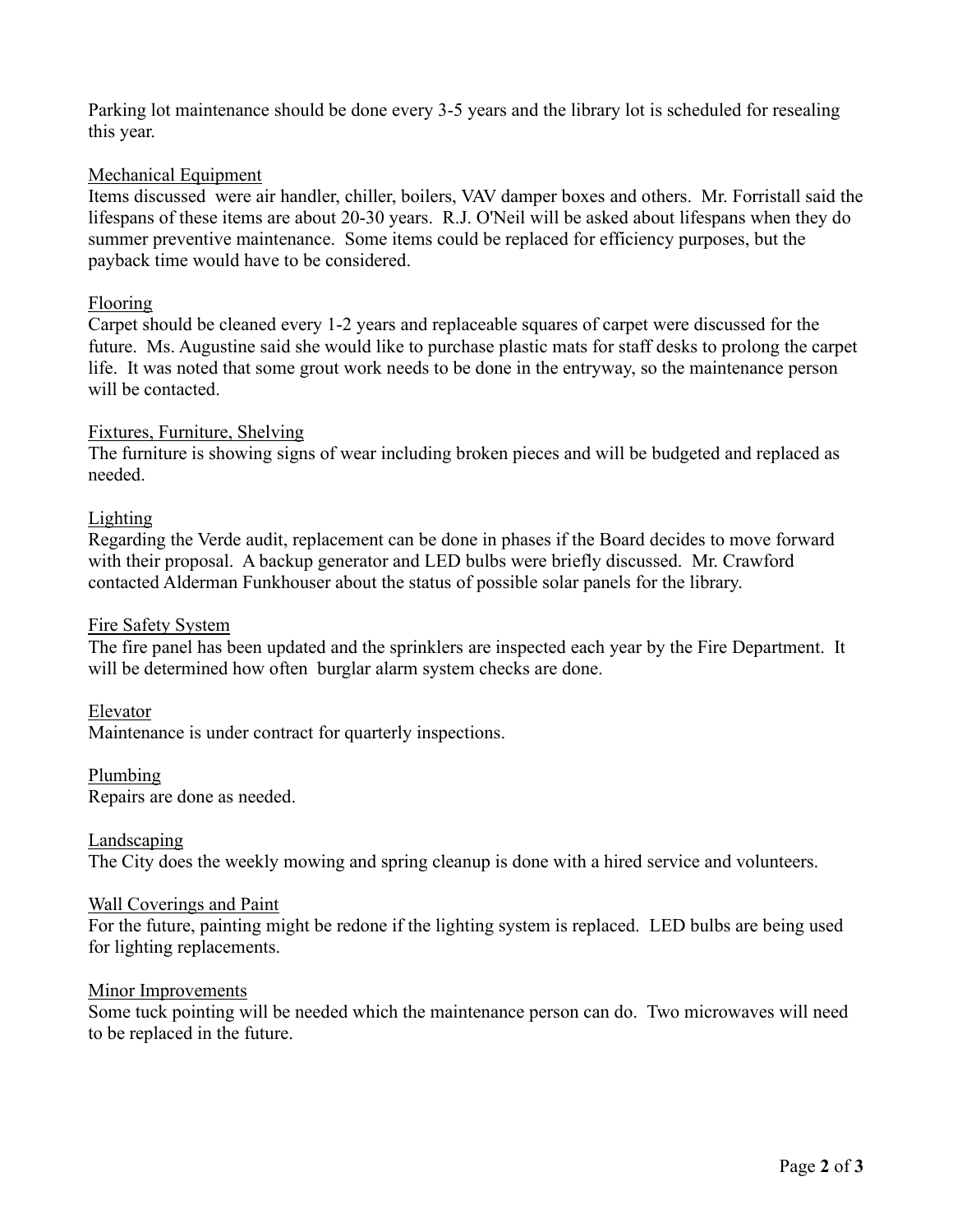Parking lot maintenance should be done every 3-5 years and the library lot is scheduled for resealing this year.

## Mechanical Equipment

Items discussed were air handler, chiller, boilers, VAV damper boxes and others. Mr. Forristall said the lifespans of these items are about 20-30 years. R.J. O'Neil will be asked about lifespans when they do summer preventive maintenance. Some items could be replaced for efficiency purposes, but the payback time would have to be considered.

## Flooring

Carpet should be cleaned every 1-2 years and replaceable squares of carpet were discussed for the future. Ms. Augustine said she would like to purchase plastic mats for staff desks to prolong the carpet life. It was noted that some grout work needs to be done in the entryway, so the maintenance person will be contacted.

## Fixtures, Furniture, Shelving

The furniture is showing signs of wear including broken pieces and will be budgeted and replaced as needed.

## Lighting

Regarding the Verde audit, replacement can be done in phases if the Board decides to move forward with their proposal. A backup generator and LED bulbs were briefly discussed. Mr. Crawford contacted Alderman Funkhouser about the status of possible solar panels for the library.

#### Fire Safety System

The fire panel has been updated and the sprinklers are inspected each year by the Fire Department. It will be determined how often burglar alarm system checks are done.

#### Elevator

Maintenance is under contract for quarterly inspections.

#### Plumbing

Repairs are done as needed.

#### Landscaping

The City does the weekly mowing and spring cleanup is done with a hired service and volunteers.

#### Wall Coverings and Paint

For the future, painting might be redone if the lighting system is replaced. LED bulbs are being used for lighting replacements.

#### Minor Improvements

Some tuck pointing will be needed which the maintenance person can do. Two microwaves will need to be replaced in the future.